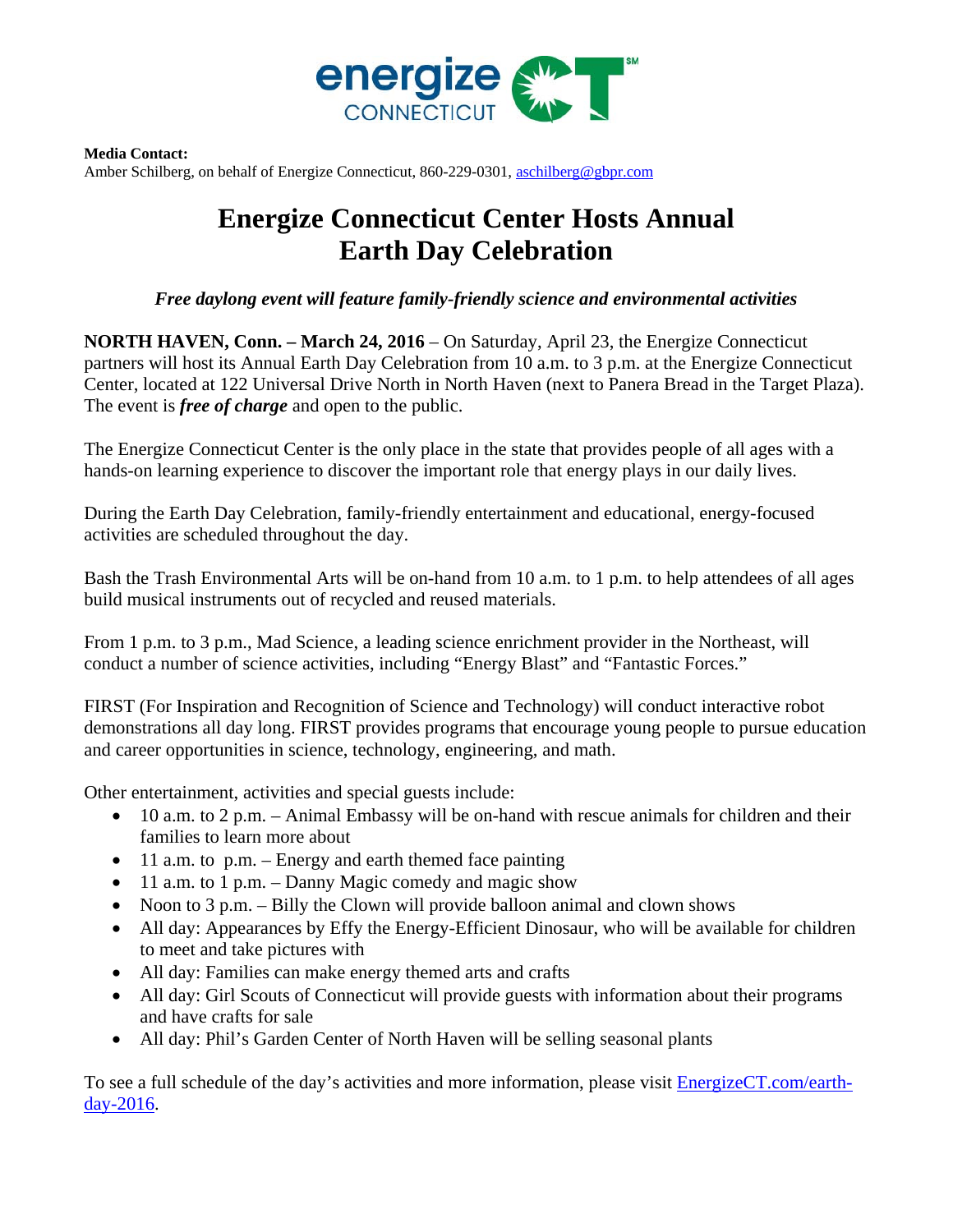

**Media Contact:**  Amber Schilberg, on behalf of Energize Connecticut, 860-229-0301, aschilberg@gbpr.com

## **Energize Connecticut Center Hosts Annual Earth Day Celebration**

## *Free daylong event will feature family-friendly science and environmental activities*

**NORTH HAVEN, Conn. – March 24, 2016 – On Saturday, April 23, the Energize Connecticut** partners will host its Annual Earth Day Celebration from 10 a.m. to 3 p.m. at the Energize Connecticut Center, located at 122 Universal Drive North in North Haven (next to Panera Bread in the Target Plaza). The event is *free of charge* and open to the public.

The Energize Connecticut Center is the only place in the state that provides people of all ages with a hands-on learning experience to discover the important role that energy plays in our daily lives.

During the Earth Day Celebration, family-friendly entertainment and educational, energy-focused activities are scheduled throughout the day.

Bash the Trash Environmental Arts will be on-hand from 10 a.m. to 1 p.m. to help attendees of all ages build musical instruments out of recycled and reused materials.

From 1 p.m. to 3 p.m., Mad Science, a leading science enrichment provider in the Northeast, will conduct a number of science activities, including "Energy Blast" and "Fantastic Forces."

FIRST (For Inspiration and Recognition of Science and Technology) will conduct interactive robot demonstrations all day long. FIRST provides programs that encourage young people to pursue education and career opportunities in science, technology, engineering, and math.

Other entertainment, activities and special guests include:

- 10 a.m. to 2 p.m. Animal Embassy will be on-hand with rescue animals for children and their families to learn more about
- 11 a.m. to p.m. Energy and earth themed face painting
- $\bullet$  11 a.m. to 1 p.m. Danny Magic comedy and magic show
- Noon to 3 p.m. Billy the Clown will provide balloon animal and clown shows
- All day: Appearances by Effy the Energy-Efficient Dinosaur, who will be available for children to meet and take pictures with
- All day: Families can make energy themed arts and crafts
- All day: Girl Scouts of Connecticut will provide guests with information about their programs and have crafts for sale
- All day: Phil's Garden Center of North Haven will be selling seasonal plants

To see a full schedule of the day's activities and more information, please visit **EnergizeCT.com/earth**day-2016.